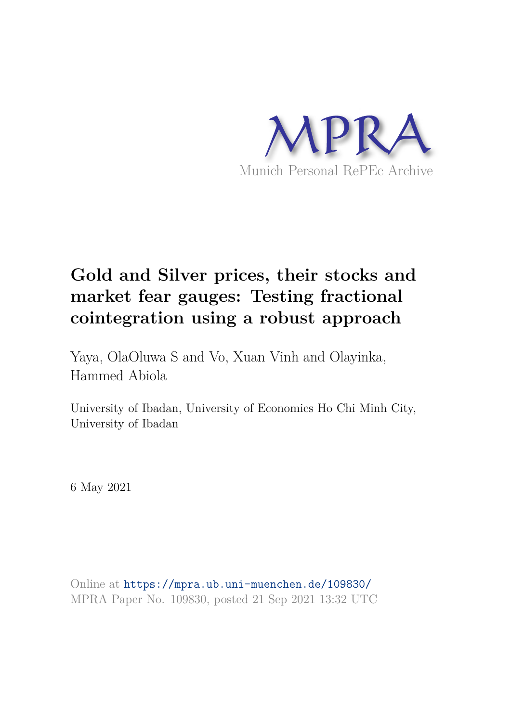

# **Gold and Silver prices, their stocks and market fear gauges: Testing fractional cointegration using a robust approach**

Yaya, OlaOluwa S and Vo, Xuan Vinh and Olayinka, Hammed Abiola

University of Ibadan, University of Economics Ho Chi Minh City, University of Ibadan

6 May 2021

Online at https://mpra.ub.uni-muenchen.de/109830/ MPRA Paper No. 109830, posted 21 Sep 2021 13:32 UTC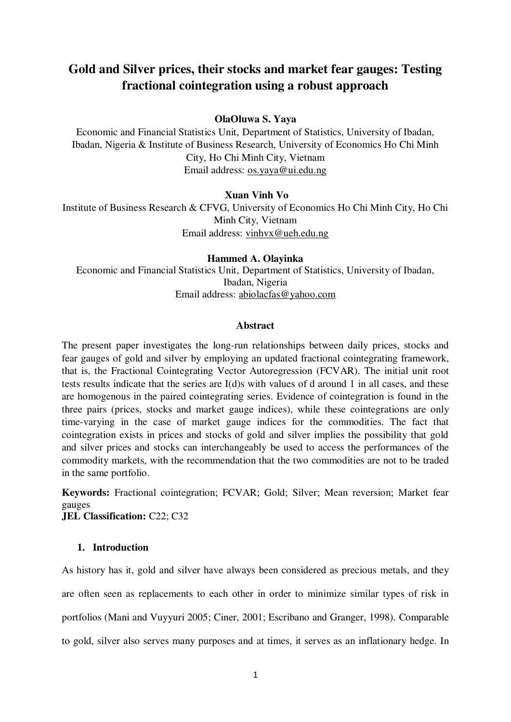# **Gold and Silver prices, their stocks and market fear gauges: Testing fractional cointegration using a robust approach**

#### **OlaOluwa S. Yaya**

Economic and Financial Statistics Unit, Department of Statistics, University of Ibadan, Ibadan, Nigeria & Institute of Business Research, University of Economics Ho Chi Minh City, Ho Chi Minh City, Vietnam Email address: [os.yaya@ui.edu.ng](mailto:os.yaya@ui.edu.ng) 

#### **Xuan Vinh Vo**

Institute of Business Research & CFVG, University of Economics Ho Chi Minh City, Ho Chi Minh City, Vietnam Email address: [vinhvx@ueh.edu.ng](mailto:vinhvx@ueh.edu.ng) 

**Hammed A. Olayinka**  Economic and Financial Statistics Unit, Department of Statistics, University of Ibadan, Ibadan, Nigeria Email address: [abiolacfas@yahoo.com](mailto:abiolacfas@yahoo.com)

#### **Abstract**

The present paper investigates the long-run relationships between daily prices, stocks and fear gauges of gold and silver by employing an updated fractional cointegrating framework, that is, the Fractional Cointegrating Vector Autoregression (FCVAR). The initial unit root tests results indicate that the series are I(d)s with values of d around 1 in all cases, and these are homogenous in the paired cointegrating series. Evidence of cointegration is found in the three pairs (prices, stocks and market gauge indices), while these cointegrations are only time-varying in the case of market gauge indices for the commodities. The fact that cointegration exists in prices and stocks of gold and silver implies the possibility that gold and silver prices and stocks can interchangeably be used to access the performances of the commodity markets, with the recommendation that the two commodities are not to be traded in the same portfolio.

**Keywords:** Fractional cointegration; FCVAR; Gold; Silver; Mean reversion; Market fear gauges

**JEL Classification: C22; C32** 

#### **1. Introduction**

As history has it, gold and silver have always been considered as precious metals, and they are often seen as replacements to each other in order to minimize similar types of risk in portfolios (Mani and Vuyyuri 2005; Ciner, 2001; Escribano and Granger, 1998). Comparable to gold, silver also serves many purposes and at times, it serves as an inflationary hedge. In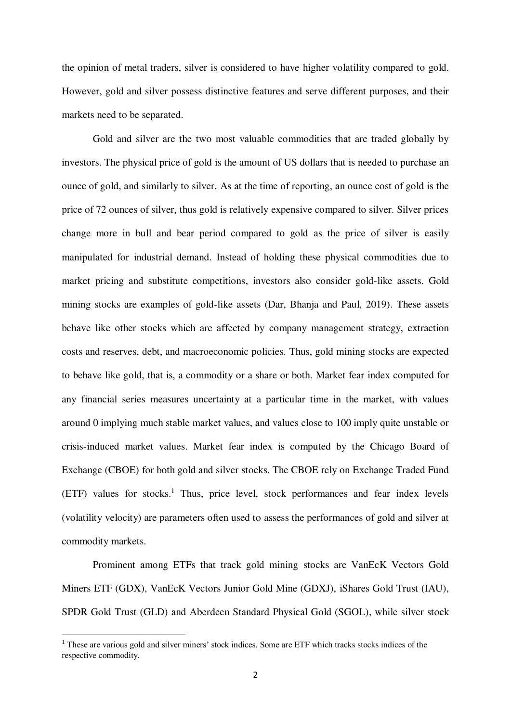the opinion of metal traders, silver is considered to have higher volatility compared to gold. However, gold and silver possess distinctive features and serve different purposes, and their markets need to be separated.

Gold and silver are the two most valuable commodities that are traded globally by investors. The physical price of gold is the amount of US dollars that is needed to purchase an ounce of gold, and similarly to silver. As at the time of reporting, an ounce cost of gold is the price of 72 ounces of silver, thus gold is relatively expensive compared to silver. Silver prices change more in bull and bear period compared to gold as the price of silver is easily manipulated for industrial demand. Instead of holding these physical commodities due to market pricing and substitute competitions, investors also consider gold-like assets. Gold mining stocks are examples of gold-like assets (Dar, Bhanja and Paul, 2019). These assets behave like other stocks which are affected by company management strategy, extraction costs and reserves, debt, and macroeconomic policies. Thus, gold mining stocks are expected to behave like gold, that is, a commodity or a share or both. Market fear index computed for any financial series measures uncertainty at a particular time in the market, with values around 0 implying much stable market values, and values close to 100 imply quite unstable or crisis-induced market values. Market fear index is computed by the Chicago Board of Exchange (CBOE) for both gold and silver stocks. The CBOE rely on Exchange Traded Fund (ETF) values for stocks.<sup>1</sup> Thus, price level, stock performances and fear index levels (volatility velocity) are parameters often used to assess the performances of gold and silver at commodity markets.

Prominent among ETFs that track gold mining stocks are VanEcK Vectors Gold Miners ETF (GDX), VanEcK Vectors Junior Gold Mine (GDXJ), iShares Gold Trust (IAU), SPDR Gold Trust (GLD) and Aberdeen Standard Physical Gold (SGOL), while silver stock

 $\overline{a}$ 

<sup>1</sup> These are various gold and silver miners' stock indices. Some are ETF which tracks stocks indices of the respective commodity.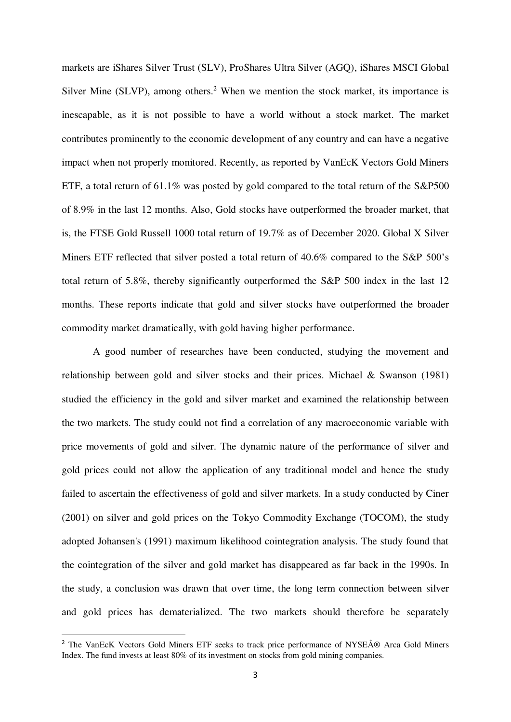markets are iShares Silver Trust (SLV), ProShares Ultra Silver (AGQ), iShares MSCI Global Silver Mine (SLVP), among others.<sup>2</sup> When we mention the stock market, its importance is inescapable, as it is not possible to have a world without a stock market. The market contributes prominently to the economic development of any country and can have a negative impact when not properly monitored. Recently, as reported by VanEcK Vectors Gold Miners ETF, a total return of 61.1% was posted by gold compared to the total return of the S&P500 of 8.9% in the last 12 months. Also, Gold stocks have outperformed the broader market, that is, the FTSE Gold Russell 1000 total return of 19.7% as of December 2020. Global X Silver Miners ETF reflected that silver posted a total return of 40.6% compared to the S&P 500's total return of 5.8%, thereby significantly outperformed the S&P 500 index in the last 12 months. These reports indicate that gold and silver stocks have outperformed the broader commodity market dramatically, with gold having higher performance.

A good number of researches have been conducted, studying the movement and relationship between gold and silver stocks and their prices. Michael & Swanson (1981) studied the efficiency in the gold and silver market and examined the relationship between the two markets. The study could not find a correlation of any macroeconomic variable with price movements of gold and silver. The dynamic nature of the performance of silver and gold prices could not allow the application of any traditional model and hence the study failed to ascertain the effectiveness of gold and silver markets. In a study conducted by Ciner (2001) on silver and gold prices on the Tokyo Commodity Exchange (TOCOM), the study adopted Johansen's (1991) maximum likelihood cointegration analysis. The study found that the cointegration of the silver and gold market has disappeared as far back in the 1990s. In the study, a conclusion was drawn that over time, the long term connection between silver and gold prices has dematerialized. The two markets should therefore be separately

 $\overline{a}$ 

<sup>&</sup>lt;sup>2</sup> The VanEcK Vectors Gold Miners ETF seeks to track price performance of NYSE® Arca Gold Miners Index. The fund invests at least 80% of its investment on stocks from gold mining companies.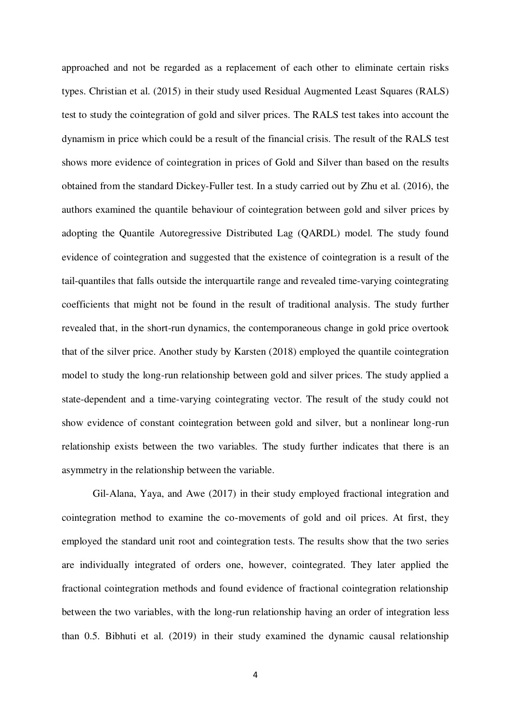approached and not be regarded as a replacement of each other to eliminate certain risks types. Christian et al. (2015) in their study used Residual Augmented Least Squares (RALS) test to study the cointegration of gold and silver prices. The RALS test takes into account the dynamism in price which could be a result of the financial crisis. The result of the RALS test shows more evidence of cointegration in prices of Gold and Silver than based on the results obtained from the standard Dickey-Fuller test. In a study carried out by Zhu et al. (2016), the authors examined the quantile behaviour of cointegration between gold and silver prices by adopting the Quantile Autoregressive Distributed Lag (QARDL) model. The study found evidence of cointegration and suggested that the existence of cointegration is a result of the tail-quantiles that falls outside the interquartile range and revealed time-varying cointegrating coefficients that might not be found in the result of traditional analysis. The study further revealed that, in the short-run dynamics, the contemporaneous change in gold price overtook that of the silver price. Another study by [Karsten \(](https://www.sciencedirect.com/science/article/abs/pii/S0378426617302807#%21)2018) employed the quantile cointegration model to study the long-run relationship between gold and silver prices. The study applied a state-dependent and a time-varying cointegrating vector. The result of the study could not show evidence of constant cointegration between gold and silver, but a nonlinear long-run relationship exists between the two variables. The study further indicates that there is an asymmetry in the relationship between the variable.

Gil-Alana, Yaya, and Awe (2017) in their study employed fractional integration and cointegration method to examine the co-movements of gold and oil prices. At first, they employed the standard unit root and cointegration tests. The results show that the two series are individually integrated of orders one, however, cointegrated. They later applied the fractional cointegration methods and found evidence of fractional cointegration relationship between the two variables, with the long-run relationship having an order of integration less than 0.5. Bibhuti et al. (2019) in their study examined the dynamic causal relationship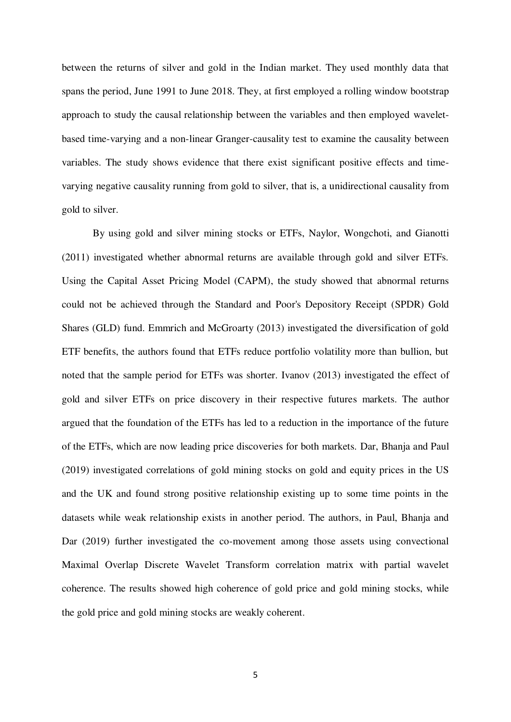between the returns of silver and gold in the Indian market. They used monthly data that spans the period, June 1991 to June 2018. They, at first employed a rolling window bootstrap approach to study the causal relationship between the variables and then employed waveletbased time-varying and a non-linear Granger-causality test to examine the causality between variables. The study shows evidence that there exist significant positive effects and timevarying negative causality running from gold to silver, that is, a unidirectional causality from gold to silver.

By using gold and silver mining stocks or ETFs, Naylor, Wongchoti, and Gianotti (2011) investigated whether abnormal returns are available through gold and silver ETFs. Using the Capital Asset Pricing Model (CAPM), the study showed that abnormal returns could not be achieved through the Standard and Poor's Depository Receipt (SPDR) Gold Shares (GLD) fund. Emmrich and McGroarty (2013) investigated the diversification of gold ETF benefits, the authors found that ETFs reduce portfolio volatility more than bullion, but noted that the sample period for ETFs was shorter. Ivanov (2013) investigated the effect of gold and silver ETFs on price discovery in their respective futures markets. The author argued that the foundation of the ETFs has led to a reduction in the importance of the future of the ETFs, which are now leading price discoveries for both markets. Dar, Bhanja and Paul (2019) investigated correlations of gold mining stocks on gold and equity prices in the US and the UK and found strong positive relationship existing up to some time points in the datasets while weak relationship exists in another period. The authors, in Paul, Bhanja and Dar (2019) further investigated the co-movement among those assets using convectional Maximal Overlap Discrete Wavelet Transform correlation matrix with partial wavelet coherence. The results showed high coherence of gold price and gold mining stocks, while the gold price and gold mining stocks are weakly coherent.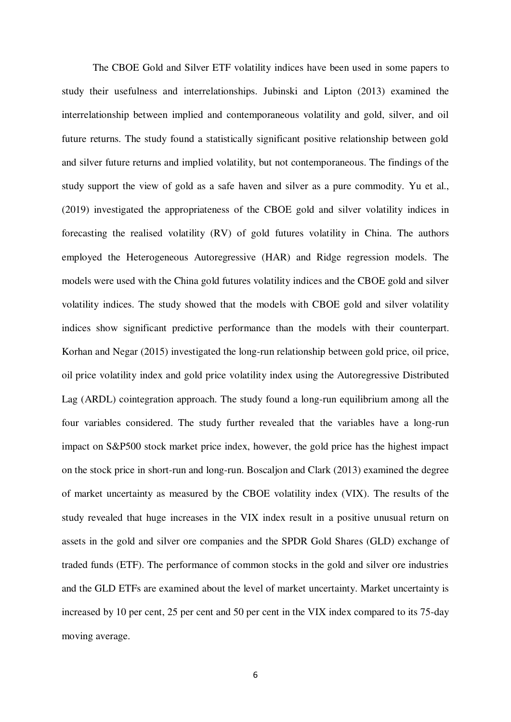The CBOE Gold and Silver ETF volatility indices have been used in some papers to study their usefulness and interrelationships. Jubinski and Lipton (2013) examined the interrelationship between implied and contemporaneous volatility and gold, silver, and oil future returns. The study found a statistically significant positive relationship between gold and silver future returns and implied volatility, but not contemporaneous. The findings of the study support the view of gold as a safe haven and silver as a pure commodity. Yu et al., (2019) investigated the appropriateness of the CBOE gold and silver volatility indices in forecasting the realised volatility (RV) of gold futures volatility in China. The authors employed the Heterogeneous Autoregressive (HAR) and Ridge regression models. The models were used with the China gold futures volatility indices and the CBOE gold and silver volatility indices. The study showed that the models with CBOE gold and silver volatility indices show significant predictive performance than the models with their counterpart. Korhan and Negar (2015) investigated the long-run relationship between gold price, oil price, oil price volatility index and gold price volatility index using the Autoregressive Distributed Lag (ARDL) cointegration approach. The study found a long-run equilibrium among all the four variables considered. The study further revealed that the variables have a long-run impact on S&P500 stock market price index, however, the gold price has the highest impact on the stock price in short-run and long-run. Boscaljon and Clark (2013) examined the degree of market uncertainty as measured by the CBOE volatility index (VIX). The results of the study revealed that huge increases in the VIX index result in a positive unusual return on assets in the gold and silver ore companies and the SPDR Gold Shares (GLD) exchange of traded funds (ETF). The performance of common stocks in the gold and silver ore industries and the GLD ETFs are examined about the level of market uncertainty. Market uncertainty is increased by 10 per cent, 25 per cent and 50 per cent in the VIX index compared to its 75-day moving average.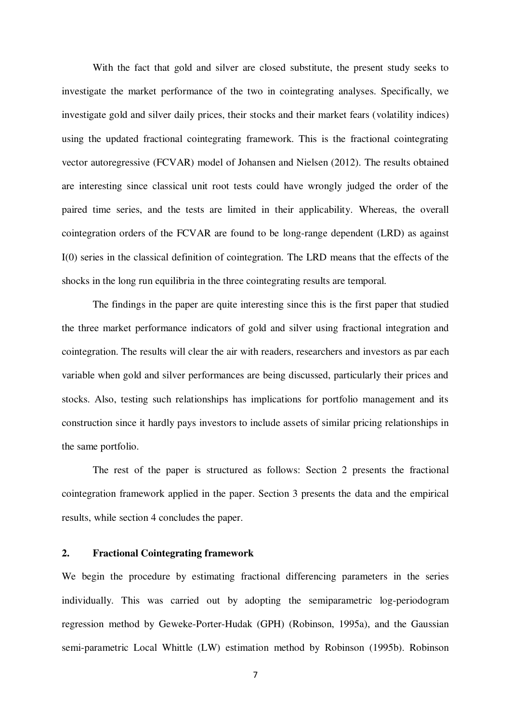With the fact that gold and silver are closed substitute, the present study seeks to investigate the market performance of the two in cointegrating analyses. Specifically, we investigate gold and silver daily prices, their stocks and their market fears (volatility indices) using the updated fractional cointegrating framework. This is the fractional cointegrating vector autoregressive (FCVAR) model of Johansen and Nielsen (2012). The results obtained are interesting since classical unit root tests could have wrongly judged the order of the paired time series, and the tests are limited in their applicability. Whereas, the overall cointegration orders of the FCVAR are found to be long-range dependent (LRD) as against I(0) series in the classical definition of cointegration. The LRD means that the effects of the shocks in the long run equilibria in the three cointegrating results are temporal.

The findings in the paper are quite interesting since this is the first paper that studied the three market performance indicators of gold and silver using fractional integration and cointegration. The results will clear the air with readers, researchers and investors as par each variable when gold and silver performances are being discussed, particularly their prices and stocks. Also, testing such relationships has implications for portfolio management and its construction since it hardly pays investors to include assets of similar pricing relationships in the same portfolio.

 The rest of the paper is structured as follows: Section 2 presents the fractional cointegration framework applied in the paper. Section 3 presents the data and the empirical results, while section 4 concludes the paper.

#### **2. Fractional Cointegrating framework**

We begin the procedure by estimating fractional differencing parameters in the series individually. This was carried out by adopting the semiparametric log-periodogram regression method by Geweke-Porter-Hudak (GPH) (Robinson, 1995a), and the Gaussian semi-parametric Local Whittle (LW) estimation method by Robinson (1995b). Robinson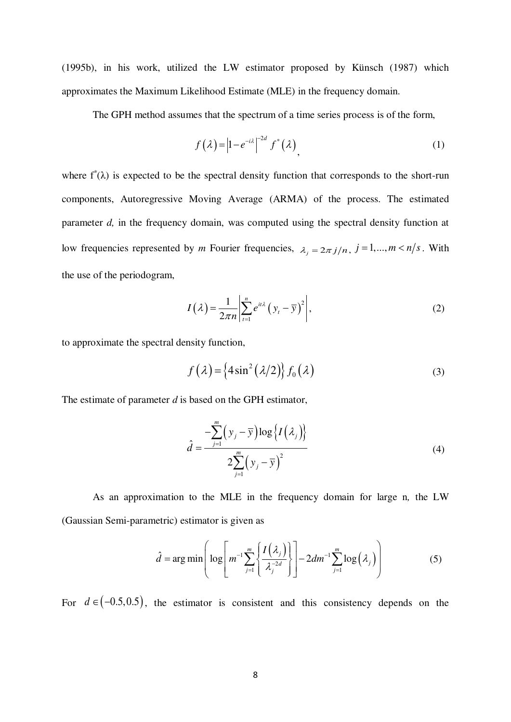(1995b), in his work, utilized the LW estimator proposed by Künsch (1987) which approximates the Maximum Likelihood Estimate (MLE) in the frequency domain.

The GPH method assumes that the spectrum of a time series process is of the form,

$$
f(\lambda) = |1 - e^{-i\lambda}|^{-2d} f^*(\lambda), \qquad (1)
$$

where  $f^*(\lambda)$  is expected to be the spectral density function that corresponds to the short-run components, Autoregressive Moving Average (ARMA) of the process. The estimated parameter *d*, in the frequency domain, was computed using the spectral density function at low frequencies represented by *m* Fourier frequencies,  $\lambda_j = 2\pi j/n$ ,  $j = 1,..., m < n/s$ . With the use of the periodogram,

$$
I(\lambda) = \frac{1}{2\pi n} \left| \sum_{t=1}^{n} e^{it\lambda} (y_t - \overline{y})^2 \right|,
$$
 (2)

to approximate the spectral density function,

$$
f(\lambda) = \left\{ 4\sin^2(\lambda/2) \right\} f_0(\lambda)
$$
 (3)

The estimate of parameter *d* is based on the GPH estimator,

$$
\hat{d} = \frac{-\sum_{j=1}^{m} (y_j - \overline{y}) \log \{I(\lambda_j)\}}{2\sum_{j=1}^{m} (y_j - \overline{y})^2}
$$
\n(4)

 As an approximation to the MLE in the frequency domain for large n*,* the LW (Gaussian Semi-parametric) estimator is given as

$$
\hat{d} = \arg\min \left( \log \left[ m^{-1} \sum_{j=1}^{m} \left\{ \frac{I\left(\lambda_{j}\right)}{\lambda_{j}^{-2d}} \right\} \right] - 2dm^{-1} \sum_{j=1}^{m} \log \left( \lambda_{j} \right) \right)
$$
(5)

For  $d \in (-0.5, 0.5)$ , the estimator is consistent and this consistency depends on the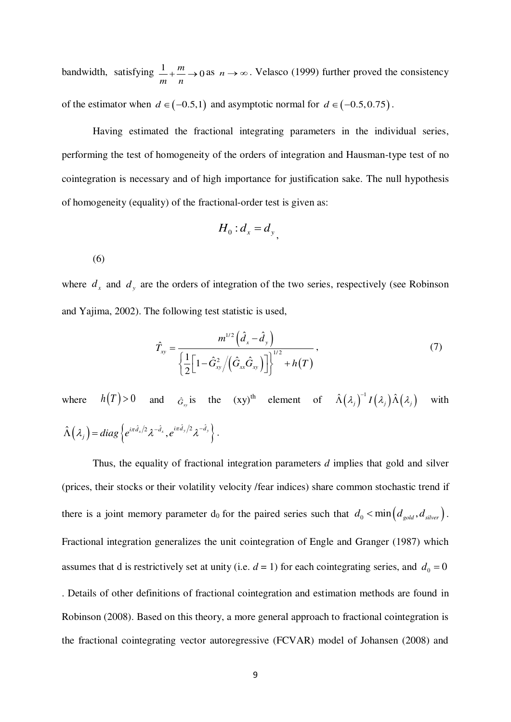bandwidth, satisfying  $\frac{1}{m} + \frac{m}{m} \rightarrow 0$ *m n*  $a + \frac{m}{2} \rightarrow 0$  as  $n \rightarrow \infty$ . Velasco (1999) further proved the consistency of the estimator when  $d \in (-0.5,1)$  and asymptotic normal for  $d \in (-0.5,0.75)$ .

Having estimated the fractional integrating parameters in the individual series, performing the test of homogeneity of the orders of integration and Hausman-type test of no cointegration is necessary and of high importance for justification sake. The null hypothesis of homogeneity (equality) of the fractional-order test is given as:

$$
H_0: d_x = d_y
$$

(6)

where  $d_x$  and  $d_y$  are the orders of integration of the two series, respectively (see Robinson and Yajima, 2002). The following test statistic is used,

$$
\hat{T}_{xy} = \frac{m^{1/2} \left(\hat{d}_x - \hat{d}_y\right)}{\left\{\frac{1}{2} \left[1 - \hat{G}_{xy}^2 / \left(\hat{G}_{xx} \hat{G}_{xy}\right)\right]\right\}^{1/2} + h(T)},\tag{7}
$$

where  $h(T) > 0$  and  $\hat{G}_{xy}$  is the  $(xy)^{th}$  element of  $\hat{\Lambda}(\lambda_j)^{-1} I(\lambda_j) \hat{\Lambda}(\lambda_j)$  with  $\hat{\Lambda}(\lambda_j) = diag \left\{ e^{i\pi \hat{d}_x/2} \lambda^{-\hat{d}_x}, e^{i\pi \hat{d}_y/2} \lambda^{-\hat{d}_y} \right\}.$ 

Thus, the equality of fractional integration parameters *d* implies that gold and silver (prices, their stocks or their volatility velocity /fear indices) share common stochastic trend if there is a joint memory parameter d<sub>0</sub> for the paired series such that  $d_0 < \min\left(d_{\text{gold}}, d_{\text{ silver}}\right)$ . Fractional integration generalizes the unit cointegration of Engle and Granger (1987) which assumes that d is restrictively set at unity (i.e.  $d = 1$ ) for each cointegrating series, and  $d_0 = 0$ . Details of other definitions of fractional cointegration and estimation methods are found in Robinson (2008). Based on this theory, a more general approach to fractional cointegration is the fractional cointegrating vector autoregressive (FCVAR) model of Johansen (2008) and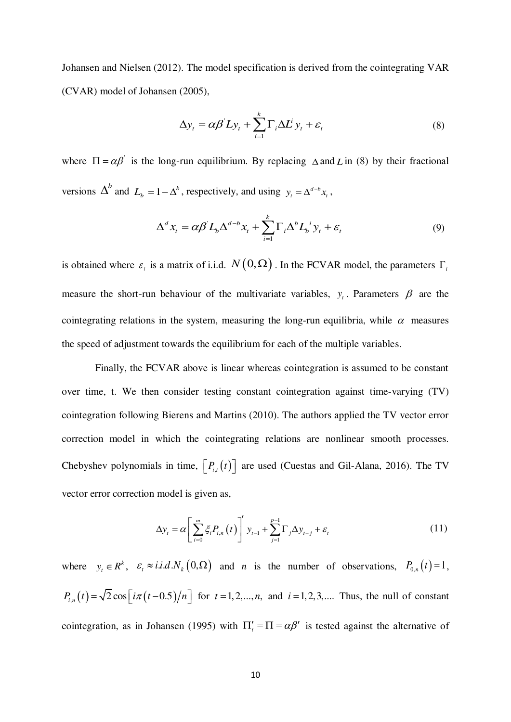Johansen and Nielsen (2012). The model specification is derived from the cointegrating VAR (CVAR) model of Johansen (2005),

$$
\Delta y_t = \alpha \beta L y_t + \sum_{i=1}^k \Gamma_i \Delta L^i y_t + \varepsilon_t
$$
\n(8)

where  $\Pi = \alpha \beta'$  is the long-run equilibrium. By replacing  $\Delta$  and *L* in (8) by their fractional versions  $\Delta^b$  and  $L_b = 1 - \Delta^b$ , respectively, and using  $y_t = \Delta^{d-b} x_t$ ,

$$
\Delta^d x_t = \alpha \beta L_b \Delta^{d-b} x_t + \sum_{i=1}^k \Gamma_i \Delta^b L_b^i y_t + \varepsilon_t
$$
\n(9)

is obtained where  $\varepsilon$ <sub>*i*</sub> is a matrix of i.i.d.  $N(0, \Omega)$ . In the FCVAR model, the parameters  $\Gamma$ <sub>*i*</sub> measure the short-run behaviour of the multivariate variables,  $y_t$ . Parameters  $\beta$  are the cointegrating relations in the system, measuring the long-run equilibria, while  $\alpha$  measures the speed of adjustment towards the equilibrium for each of the multiple variables.

 Finally, the FCVAR above is linear whereas cointegration is assumed to be constant over time, t. We then consider testing constant cointegration against time-varying (TV) cointegration following Bierens and Martins (2010). The authors applied the TV vector error correction model in which the cointegrating relations are nonlinear smooth processes. Chebyshev polynomials in time,  $\left[ P_{i,t}(t) \right]$  are used (Cuestas and Gil-Alana, 2016). The TV vector error correction model is given as,

$$
\Delta y_t = \alpha \left[ \sum_{i=0}^m \xi_i P_{i,n}(t) \right]' y_{t-1} + \sum_{j=1}^{p-1} \Gamma_j \Delta y_{t-j} + \varepsilon_t \tag{11}
$$

where  $y_t \in R^k$ ,  $\varepsilon_t \approx i.i.d.N_k(0,\Omega)$  and *n* is the number of observations,  $P_{0,n}(t) = 1$ ,  $P_{i,n}(t) = \sqrt{2} \cos \left[i\pi (t-0.5)/n\right]$  for  $t = 1,2,...,n$ , and  $i = 1,2,3,...$  Thus, the null of constant cointegration, as in Johansen (1995) with  $\Pi'_t = \Pi = \alpha \beta'$  is tested against the alternative of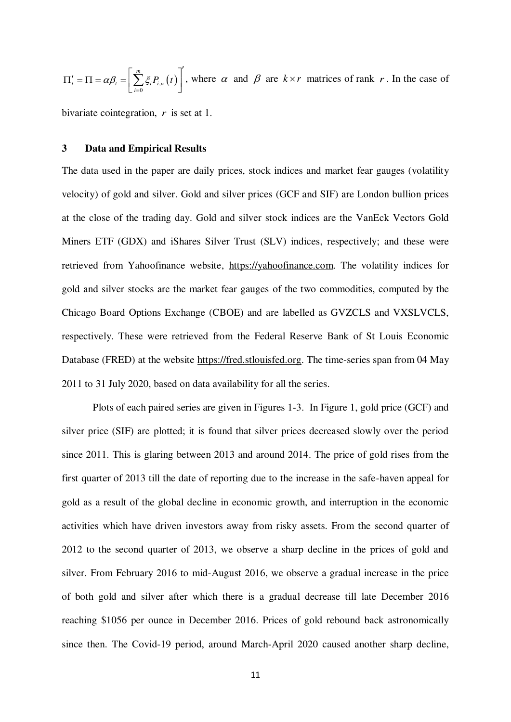$\sum_{i} \xi_i P_{i,n}(t)$ *m*  $\mu_t - 11 - \alpha p_t - \left[ \sum_{i=0} S_i \mathbf{r}_{i,n} \right]$  $\alpha \beta_i = \sum_i \xi_i P_{i,n} (t)$  $=$  $\Pi'_{t} = \Pi = \alpha \beta_{t} = \left[ \sum_{i=0}^{m} \xi_{i} P_{i,n}(t) \right]$ , where  $\alpha$  and  $\beta$  are  $k \times r$  matrices of rank  $r$ . In the case of

bivariate cointegration, *r* is set at 1.

#### **3 Data and Empirical Results**

The data used in the paper are daily prices, stock indices and market fear gauges (volatility velocity) of gold and silver. Gold and silver prices (GCF and SIF) are London bullion prices at the close of the trading day. Gold and silver stock indices are the VanEck Vectors Gold Miners ETF (GDX) and iShares Silver Trust (SLV) indices, respectively; and these were retrieved from Yahoofinance website, [https://yahoofinance.com.](https://yahoofinance.com/) The volatility indices for gold and silver stocks are the market fear gauges of the two commodities, computed by the Chicago Board Options Exchange (CBOE) and are labelled as GVZCLS and VXSLVCLS, respectively. These were retrieved from the Federal Reserve Bank of St Louis Economic Database (FRED) at the website [https://fred.stlouisfed.org.](https://fred.stlouisfed.org/) The time-series span from 04 May 2011 to 31 July 2020, based on data availability for all the series.

Plots of each paired series are given in Figures 1-3. In Figure 1, gold price (GCF) and silver price (SIF) are plotted; it is found that silver prices decreased slowly over the period since 2011. This is glaring between 2013 and around 2014. The price of gold rises from the first quarter of 2013 till the date of reporting due to the increase in the safe-haven appeal for gold as a result of the global decline in economic growth, and interruption in the economic activities which have driven investors away from risky assets. From the second quarter of 2012 to the second quarter of 2013, we observe a sharp decline in the prices of gold and silver. From February 2016 to mid-August 2016, we observe a gradual increase in the price of both gold and silver after which there is a gradual decrease till late December 2016 reaching \$1056 per ounce in December 2016. Prices of gold rebound back astronomically since then. The Covid-19 period, around March-April 2020 caused another sharp decline,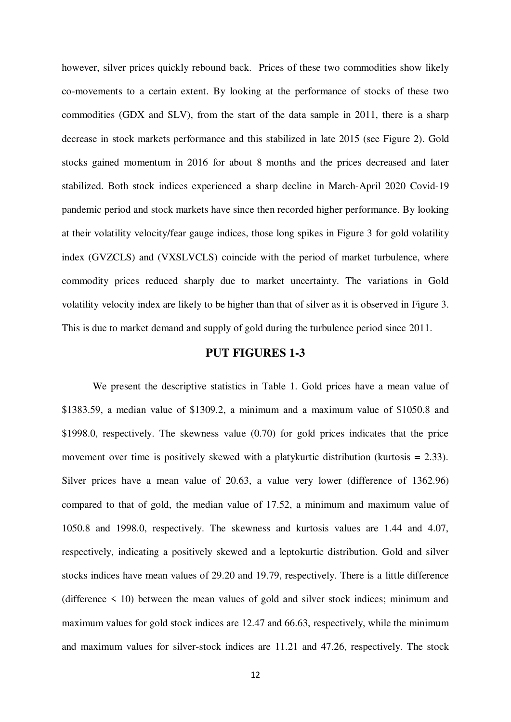however, silver prices quickly rebound back. Prices of these two commodities show likely co-movements to a certain extent. By looking at the performance of stocks of these two commodities (GDX and SLV), from the start of the data sample in 2011, there is a sharp decrease in stock markets performance and this stabilized in late 2015 (see Figure 2). Gold stocks gained momentum in 2016 for about 8 months and the prices decreased and later stabilized. Both stock indices experienced a sharp decline in March-April 2020 Covid-19 pandemic period and stock markets have since then recorded higher performance. By looking at their volatility velocity/fear gauge indices, those long spikes in Figure 3 for gold volatility index (GVZCLS) and (VXSLVCLS) coincide with the period of market turbulence, where commodity prices reduced sharply due to market uncertainty. The variations in Gold volatility velocity index are likely to be higher than that of silver as it is observed in Figure 3. This is due to market demand and supply of gold during the turbulence period since 2011.

# **PUT FIGURES 1-3**

We present the descriptive statistics in Table 1. Gold prices have a mean value of \$1383.59, a median value of \$1309.2, a minimum and a maximum value of \$1050.8 and \$1998.0, respectively. The skewness value (0.70) for gold prices indicates that the price movement over time is positively skewed with a platykurtic distribution (kurtosis = 2.33). Silver prices have a mean value of 20.63, a value very lower (difference of 1362.96) compared to that of gold, the median value of 17.52, a minimum and maximum value of 1050.8 and 1998.0, respectively. The skewness and kurtosis values are 1.44 and 4.07, respectively, indicating a positively skewed and a leptokurtic distribution. Gold and silver stocks indices have mean values of 29.20 and 19.79, respectively. There is a little difference (difference  $\leq$  10) between the mean values of gold and silver stock indices; minimum and maximum values for gold stock indices are 12.47 and 66.63, respectively, while the minimum and maximum values for silver-stock indices are 11.21 and 47.26, respectively. The stock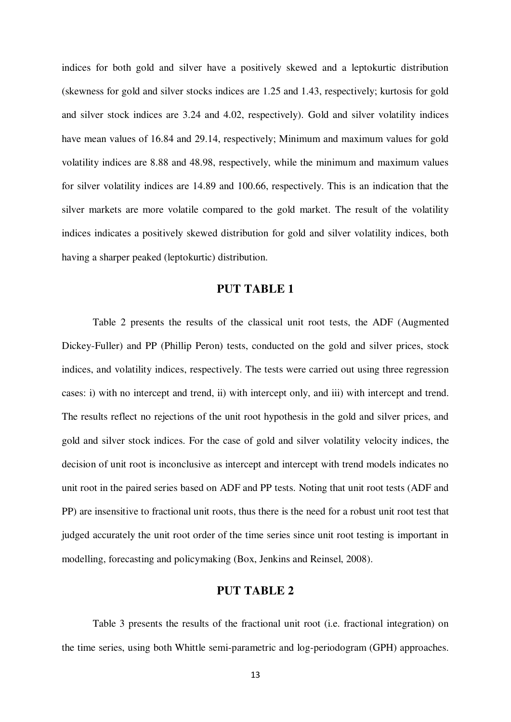indices for both gold and silver have a positively skewed and a leptokurtic distribution (skewness for gold and silver stocks indices are 1.25 and 1.43, respectively; kurtosis for gold and silver stock indices are 3.24 and 4.02, respectively). Gold and silver volatility indices have mean values of 16.84 and 29.14, respectively; Minimum and maximum values for gold volatility indices are 8.88 and 48.98, respectively, while the minimum and maximum values for silver volatility indices are 14.89 and 100.66, respectively. This is an indication that the silver markets are more volatile compared to the gold market. The result of the volatility indices indicates a positively skewed distribution for gold and silver volatility indices, both having a sharper peaked (leptokurtic) distribution.

#### **PUT TABLE 1**

Table 2 presents the results of the classical unit root tests, the ADF (Augmented Dickey-Fuller) and PP (Phillip Peron) tests, conducted on the gold and silver prices, stock indices, and volatility indices, respectively. The tests were carried out using three regression cases: i) with no intercept and trend, ii) with intercept only, and iii) with intercept and trend. The results reflect no rejections of the unit root hypothesis in the gold and silver prices, and gold and silver stock indices. For the case of gold and silver volatility velocity indices, the decision of unit root is inconclusive as intercept and intercept with trend models indicates no unit root in the paired series based on ADF and PP tests. Noting that unit root tests (ADF and PP) are insensitive to fractional unit roots, thus there is the need for a robust unit root test that judged accurately the unit root order of the time series since unit root testing is important in modelling, forecasting and policymaking (Box, Jenkins and Reinsel, 2008).

# **PUT TABLE 2**

Table 3 presents the results of the fractional unit root (i.e. fractional integration) on the time series, using both Whittle semi-parametric and log-periodogram (GPH) approaches.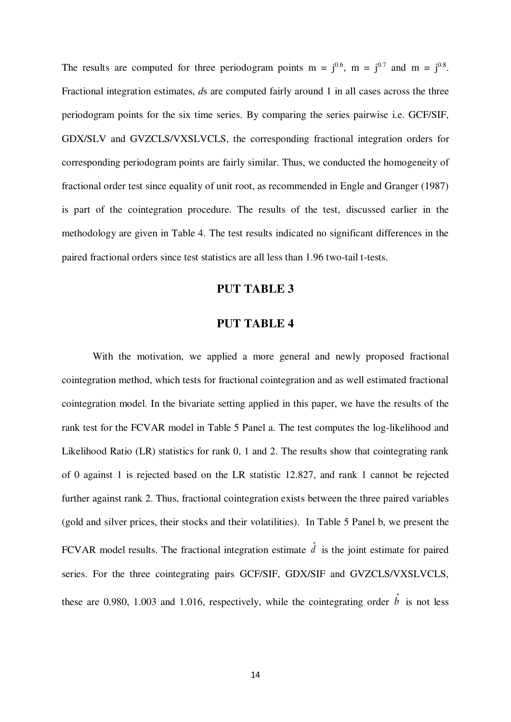The results are computed for three periodogram points  $m = j^{0.6}$ ,  $m = j^{0.7}$  and  $m = j^{0.8}$ . Fractional integration estimates, *d*s are computed fairly around 1 in all cases across the three periodogram points for the six time series. By comparing the series pairwise i.e. GCF/SIF, GDX/SLV and GVZCLS/VXSLVCLS, the corresponding fractional integration orders for corresponding periodogram points are fairly similar. Thus, we conducted the homogeneity of fractional order test since equality of unit root, as recommended in Engle and Granger (1987) is part of the cointegration procedure. The results of the test, discussed earlier in the methodology are given in Table 4. The test results indicated no significant differences in the paired fractional orders since test statistics are all less than 1.96 two-tail t-tests.

## **PUT TABLE 3**

## **PUT TABLE 4**

With the motivation, we applied a more general and newly proposed fractional cointegration method, which tests for fractional cointegration and as well estimated fractional cointegration model. In the bivariate setting applied in this paper, we have the results of the rank test for the FCVAR model in Table 5 Panel a. The test computes the log-likelihood and Likelihood Ratio (LR) statistics for rank 0, 1 and 2. The results show that cointegrating rank of 0 against 1 is rejected based on the LR statistic 12.827, and rank 1 cannot be rejected further against rank 2. Thus, fractional cointegration exists between the three paired variables (gold and silver prices, their stocks and their volatilities). In Table 5 Panel b, we present the FCVAR model results. The fractional integration estimate  $\hat{d}$  is the joint estimate for paired series. For the three cointegrating pairs GCF/SIF, GDX/SIF and GVZCLS/VXSLVCLS, these are 0.980, 1.003 and 1.016, respectively, while the cointegrating order  $\hat{b}$  is not less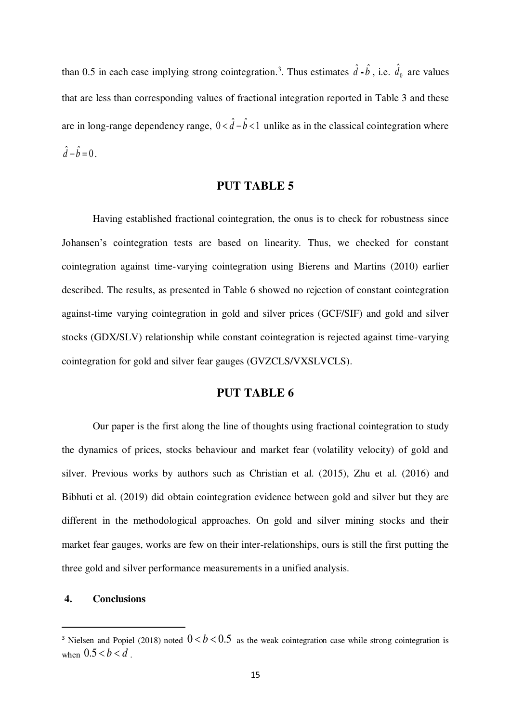than 0.5 in each case implying strong cointegration.<sup>3</sup>. Thus estimates  $\hat{d}$  **-** $\hat{b}$ , i.e.  $\hat{d}_0$  are values that are less than corresponding values of fractional integration reported in Table 3 and these are in long-range dependency range,  $0 < \hat{d} - \hat{b} < 1$  unlike as in the classical cointegration where  $\hat{d} - \hat{b} = 0$ .

## **PUT TABLE 5**

Having established fractional cointegration, the onus is to check for robustness since Johansen's cointegration tests are based on linearity. Thus, we checked for constant cointegration against time-varying cointegration using Bierens and Martins (2010) earlier described. The results, as presented in Table 6 showed no rejection of constant cointegration against-time varying cointegration in gold and silver prices (GCF/SIF) and gold and silver stocks (GDX/SLV) relationship while constant cointegration is rejected against time-varying cointegration for gold and silver fear gauges (GVZCLS/VXSLVCLS).

# **PUT TABLE 6**

Our paper is the first along the line of thoughts using fractional cointegration to study the dynamics of prices, stocks behaviour and market fear (volatility velocity) of gold and silver. Previous works by authors such as Christian et al. (2015), Zhu et al. (2016) and Bibhuti et al. (2019) did obtain cointegration evidence between gold and silver but they are different in the methodological approaches. On gold and silver mining stocks and their market fear gauges, works are few on their inter-relationships, ours is still the first putting the three gold and silver performance measurements in a unified analysis.

#### **4. Conclusions**

 $\overline{a}$ 

<sup>&</sup>lt;sup>3</sup> Nielsen and Popiel (2018) noted  $0 < b < 0.5$  as the weak cointegration case while strong cointegration is when  $0.5 < b < d$ .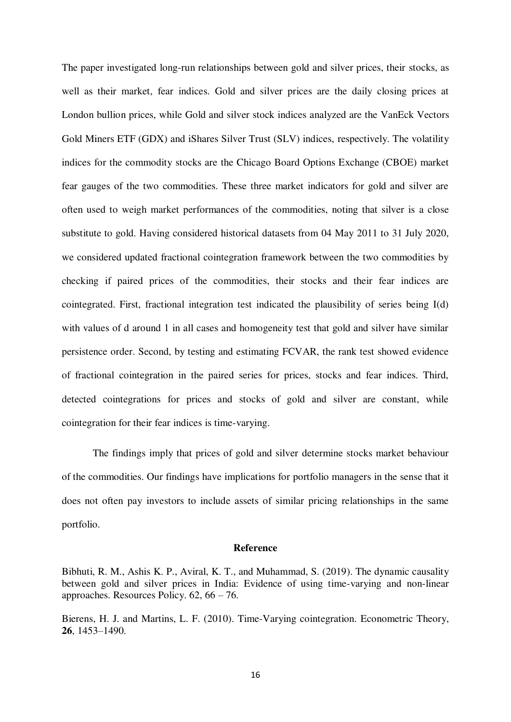The paper investigated long-run relationships between gold and silver prices, their stocks, as well as their market, fear indices. Gold and silver prices are the daily closing prices at London bullion prices, while Gold and silver stock indices analyzed are the VanEck Vectors Gold Miners ETF (GDX) and iShares Silver Trust (SLV) indices, respectively. The volatility indices for the commodity stocks are the Chicago Board Options Exchange (CBOE) market fear gauges of the two commodities. These three market indicators for gold and silver are often used to weigh market performances of the commodities, noting that silver is a close substitute to gold. Having considered historical datasets from 04 May 2011 to 31 July 2020, we considered updated fractional cointegration framework between the two commodities by checking if paired prices of the commodities, their stocks and their fear indices are cointegrated. First, fractional integration test indicated the plausibility of series being I(d) with values of d around 1 in all cases and homogeneity test that gold and silver have similar persistence order. Second, by testing and estimating FCVAR, the rank test showed evidence of fractional cointegration in the paired series for prices, stocks and fear indices. Third, detected cointegrations for prices and stocks of gold and silver are constant, while cointegration for their fear indices is time-varying.

The findings imply that prices of gold and silver determine stocks market behaviour of the commodities. Our findings have implications for portfolio managers in the sense that it does not often pay investors to include assets of similar pricing relationships in the same portfolio.

#### **Reference**

Bierens, H. J. and Martins, L. F. (2010). Time-Varying cointegration. Econometric Theory, **26**, 1453–1490.

Bibhuti, R. M., Ashis K. P., Aviral, K. T., and Muhammad, S. (2019). The dynamic causality between gold and silver prices in India: Evidence of using time-varying and non-linear approaches. Resources Policy. 62, 66 – 76.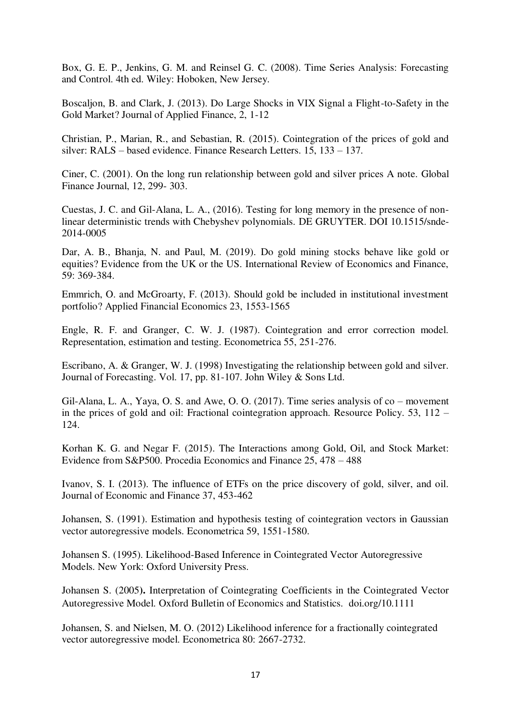Box, G. E. P., Jenkins, G. M. and Reinsel G. C. (2008). Time Series Analysis: Forecasting and Control. 4th ed. Wiley: Hoboken, New Jersey.

Boscaljon, B. and Clark, J. (2013). Do Large Shocks in VIX Signal a Flight-to-Safety in the Gold Market? Journal of Applied Finance, 2, 1-12

Christian, P., Marian, R., and Sebastian, R. (2015). Cointegration of the prices of gold and silver: RALS – based evidence. Finance Research Letters. 15, 133 – 137.

Ciner, C. (2001). On the long run relationship between gold and silver prices A note. Global Finance Journal, 12, 299- 303.

Cuestas, J. C. and Gil-Alana, L. A., (2016). Testing for long memory in the presence of nonlinear deterministic trends with Chebyshev polynomials. DE GRUYTER. DOI 10.1515/snde-2014-0005

Dar, A. B., Bhanja, N. and Paul, M. (2019). Do gold mining stocks behave like gold or equities? Evidence from the UK or the US. International Review of Economics and Finance, 59: 369-384.

Emmrich, O. and McGroarty, F. (2013). Should gold be included in institutional investment portfolio? Applied Financial Economics 23, 1553-1565

Engle, R. F. and Granger, C. W. J. (1987). Cointegration and error correction model. Representation, estimation and testing. Econometrica 55, 251-276.

Escribano, A. & Granger, W. J. (1998) Investigating the relationship between gold and silver. Journal of Forecasting. Vol. 17, pp. 81-107. John Wiley & Sons Ltd.

Gil-Alana, L. A., Yaya, O. S. and Awe, O. O. (2017). Time series analysis of co – movement in the prices of gold and oil: Fractional cointegration approach. Resource Policy. 53, 112 – 124.

Korhan K. G. and Negar F. (2015). The Interactions among Gold, Oil, and Stock Market: Evidence from S&P500. Procedia Economics and Finance 25, 478 – 488

Ivanov, S. I. (2013). The influence of ETFs on the price discovery of gold, silver, and oil. Journal of Economic and Finance 37, 453-462

Johansen, S. (1991). Estimation and hypothesis testing of cointegration vectors in Gaussian vector autoregressive models. Econometrica 59, 1551-1580.

Johansen S. (1995). Likelihood-Based Inference in Cointegrated Vector Autoregressive Models. New York: Oxford University Press.

Johansen S. (2005**).** Interpretation of Cointegrating Coefficients in the Cointegrated Vector Autoregressive Model. Oxford Bulletin of Economics and Statistics. doi.org/10.1111

Johansen, S. and Nielsen, M. O. (2012) Likelihood inference for a fractionally cointegrated vector autoregressive model. Econometrica 80: 2667-2732.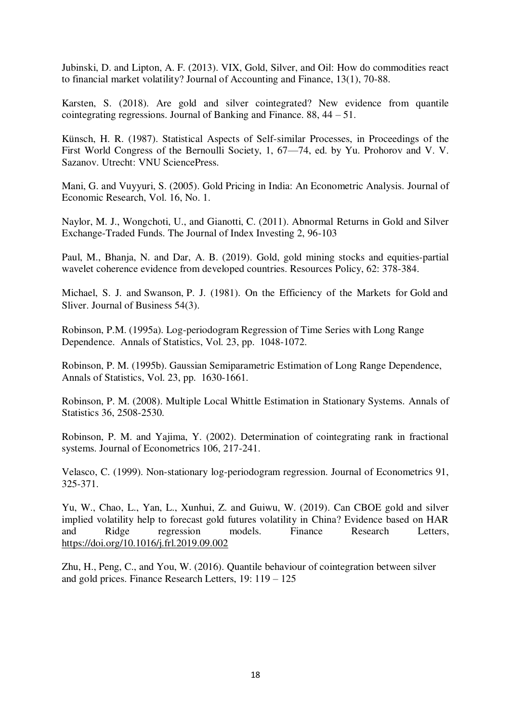Jubinski, D. and Lipton, A. F. (2013). VIX, Gold, Silver, and Oil: How do commodities react to financial market volatility? Journal of Accounting and Finance, 13(1), 70-88.

Karsten, S. (2018). Are gold and silver cointegrated? New evidence from quantile cointegrating regressions. Journal of Banking and Finance. 88, 44 – 51.

Künsch, H. R. (1987). Statistical Aspects of Self-similar Processes, in Proceedings of the First World Congress of the Bernoulli Society, 1, 67—74, ed. by Yu. Prohorov and V. V. Sazanov. Utrecht: VNU SciencePress.

Mani, G. and Vuyyuri, S. (2005). Gold Pricing in India: An Econometric Analysis. Journal of Economic Research, Vol. 16, No. 1.

Naylor, M. J., Wongchoti, U., and Gianotti, C. (2011). Abnormal Returns in Gold and Silver Exchange-Traded Funds. The Journal of Index Investing 2, 96-103

Paul, M., Bhanja, N. and Dar, A. B. (2019). Gold, gold mining stocks and equities-partial wavelet coherence evidence from developed countries. Resources Policy, 62: 378-384.

Michael, S. J. and Swanson, P. J. (1981). On the Efficiency of the Markets for Gold and Sliver. Journal of Business 54(3).

Robinson, P.M. (1995a). Log-periodogram Regression of Time Series with Long Range Dependence. Annals of Statistics, Vol. 23, pp. 1048-1072.

Robinson, P. M. (1995b). Gaussian Semiparametric Estimation of Long Range Dependence, Annals of Statistics, Vol. 23, pp. 1630-1661.

Robinson, P. M. (2008). Multiple Local Whittle Estimation in Stationary Systems. Annals of Statistics 36, 2508-2530.

Robinson, P. M. and Yajima, Y. (2002). Determination of cointegrating rank in fractional systems. Journal of Econometrics 106, 217-241.

Velasco, C. (1999). Non-stationary log-periodogram regression. Journal of Econometrics 91, 325-371.

Yu, W., Chao, L., Yan, L., Xunhui, Z. and Guiwu, W. (2019). Can CBOE gold and silver implied volatility help to forecast gold futures volatility in China? Evidence based on HAR and Ridge regression models. Finance Research Letters, <https://doi.org/10.1016/j.frl.2019.09.002>

Zhu, H., Peng, C., and You, W. (2016). Quantile behaviour of cointegration between silver and gold prices. Finance Research Letters, 19: 119 – 125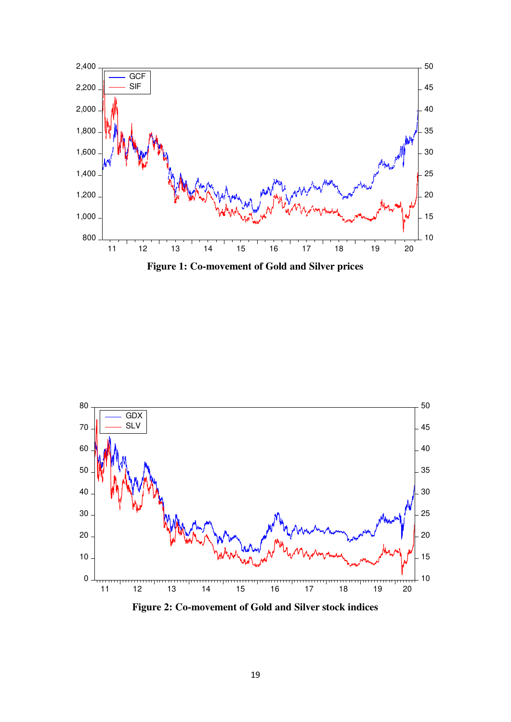





**Figure 2: Co-movement of Gold and Silver stock indices**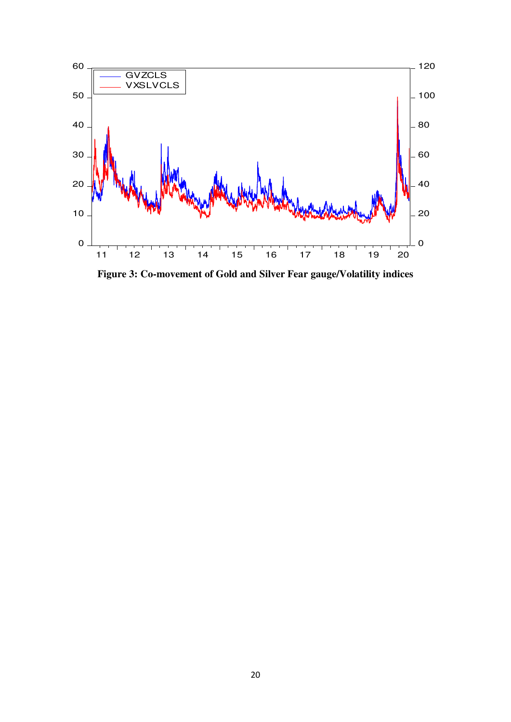

**Figure 3: Co-movement of Gold and Silver Fear gauge/Volatility indices**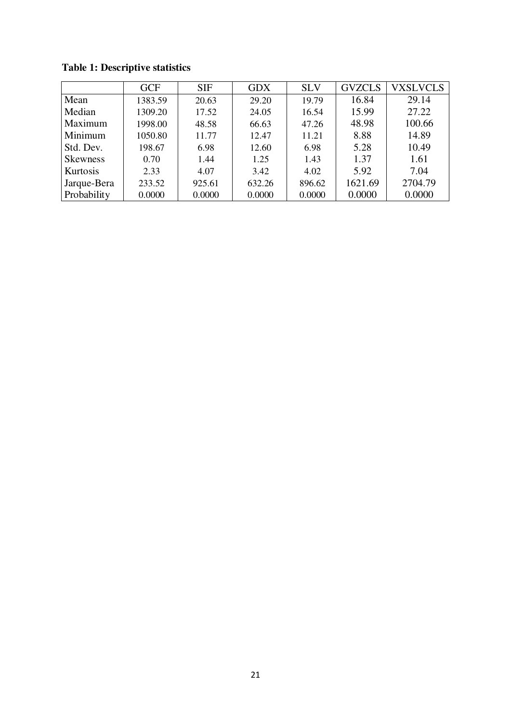|                 | <b>GCF</b> | <b>SIF</b> | <b>GDX</b> | <b>SLV</b> | <b>GVZCLS</b> | <b>VXSLVCLS</b> |
|-----------------|------------|------------|------------|------------|---------------|-----------------|
| Mean            | 1383.59    | 20.63      | 29.20      | 19.79      | 16.84         | 29.14           |
| Median          | 1309.20    | 17.52      | 24.05      | 16.54      | 15.99         | 27.22           |
| Maximum         | 1998.00    | 48.58      | 66.63      | 47.26      | 48.98         | 100.66          |
| Minimum         | 1050.80    | 11.77      | 12.47      | 11.21      | 8.88          | 14.89           |
| Std. Dev.       | 198.67     | 6.98       | 12.60      | 6.98       | 5.28          | 10.49           |
| <b>Skewness</b> | 0.70       | 1.44       | 1.25       | 1.43       | 1.37          | 1.61            |
| Kurtosis        | 2.33       | 4.07       | 3.42       | 4.02       | 5.92          | 7.04            |
| Jarque-Bera     | 233.52     | 925.61     | 632.26     | 896.62     | 1621.69       | 2704.79         |
| Probability     | 0.0000     | 0.0000     | 0.0000     | 0.0000     | 0.0000        | 0.0000          |

**Table 1: Descriptive statistics**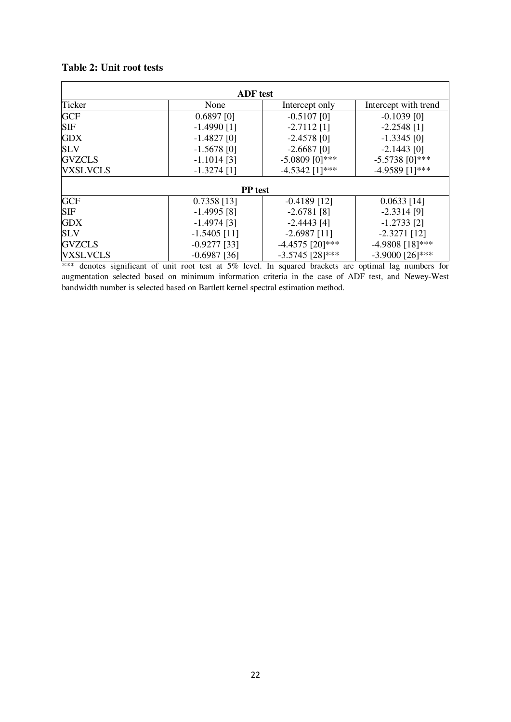# **Table 2: Unit root tests**

| <b>ADF</b> test |                |                   |                      |  |  |
|-----------------|----------------|-------------------|----------------------|--|--|
| Ticker          | None           | Intercept only    | Intercept with trend |  |  |
| <b>GCF</b>      | $0.6897$ [0]   | $-0.5107$ [0]     | $-0.1039$ [0]        |  |  |
| <b>SIF</b>      | $-1.4990$ [1]  | $-2.7112$ [1]     | $-2.2548$ [1]        |  |  |
| <b>GDX</b>      | $-1.4827$ [0]  | $-2.4578$ [0]     | $-1.3345$ [0]        |  |  |
| <b>SLV</b>      | $-1.5678$ [0]  | $-2.6687$ [0]     | $-2.1443$ [0]        |  |  |
| <b>GVZCLS</b>   | $-1.1014$ [3]  | $-5.0809$ [0]***  | $-5.5738$ [0]***     |  |  |
| <b>VXSLVCLS</b> | $-1.3274$ [1]  | $-4.5342$ [1]***  | $-4.9589$ [1]***     |  |  |
| <b>PP</b> test  |                |                   |                      |  |  |
| <b>GCF</b>      | $0.7358$ [13]  | $-0.4189$ [12]    | $0.0633$ [14]        |  |  |
| <b>SIF</b>      | $-1.4995$ [8]  | $-2.6781$ [8]     | $-2.3314$ [9]        |  |  |
| <b>GDX</b>      | $-1.4974$ [3]  | $-2.4443$ [4]     | $-1.2733$ [2]        |  |  |
| <b>SLV</b>      | $-1.5405$ [11] | $-2.6987$ [11]    | $-2.3271$ [12]       |  |  |
| <b>GVZCLS</b>   | $-0.9277$ [33] | $-4.4575$ [20]*** | $-4.9808$ [18]***    |  |  |
| <b>VXSLVCLS</b> | $-0.6987$ [36] | $-3.5745$ [28]*** | $-3.9000$ [26]***    |  |  |

\*\*\* denotes significant of unit root test at 5% level. In squared brackets are optimal lag numbers for augmentation selected based on minimum information criteria in the case of ADF test, and Newey-West bandwidth number is selected based on Bartlett kernel spectral estimation method.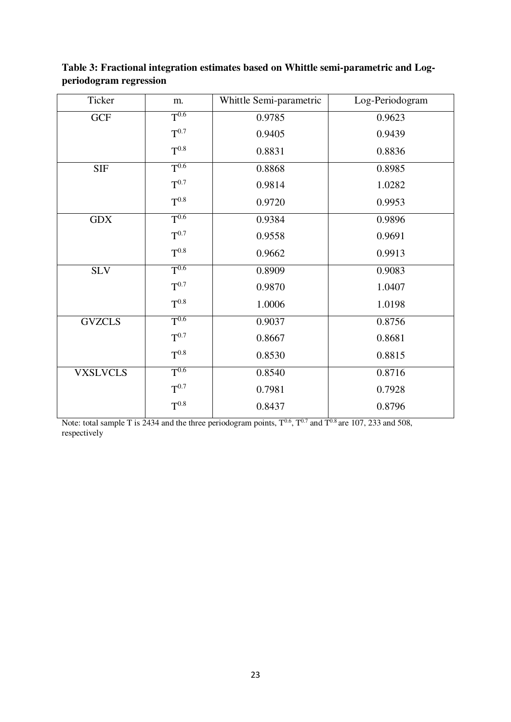| Ticker          | m.        | Whittle Semi-parametric<br>Log-Periodogram |        |
|-----------------|-----------|--------------------------------------------|--------|
| <b>GCF</b>      | $T^{0.6}$ | 0.9785                                     | 0.9623 |
|                 | $T^{0.7}$ | 0.9405                                     | 0.9439 |
|                 | $T^{0.8}$ | 0.8831                                     | 0.8836 |
| <b>SIF</b>      | $T^{0.6}$ | 0.8868                                     | 0.8985 |
|                 | $T^{0.7}$ | 0.9814                                     | 1.0282 |
|                 | $T^{0.8}$ | 0.9720                                     | 0.9953 |
| <b>GDX</b>      | $T^{0.6}$ | 0.9384                                     | 0.9896 |
|                 | $T^{0.7}$ | 0.9558                                     | 0.9691 |
|                 | $T^{0.8}$ | 0.9662                                     | 0.9913 |
| <b>SLV</b>      | $T^{0.6}$ | 0.8909                                     | 0.9083 |
|                 | $T^{0.7}$ | 0.9870                                     | 1.0407 |
|                 | $T^{0.8}$ | 1.0006                                     | 1.0198 |
| <b>GVZCLS</b>   | $T^{0.6}$ | 0.9037                                     | 0.8756 |
|                 | $T^{0.7}$ | 0.8667                                     | 0.8681 |
|                 | $T^{0.8}$ | 0.8530                                     | 0.8815 |
| <b>VXSLVCLS</b> | $T^{0.6}$ | 0.8540                                     | 0.8716 |
|                 | $T^{0.7}$ | 0.7981                                     | 0.7928 |
|                 | $T^{0.8}$ | 0.8437                                     | 0.8796 |

**Table 3: Fractional integration estimates based on Whittle semi-parametric and Logperiodogram regression** 

Note: total sample T is 2434 and the three periodogram points,  $T^{0.6}$ ,  $T^{0.7}$  and  $T^{0.8}$  are 107, 233 and 508, respectively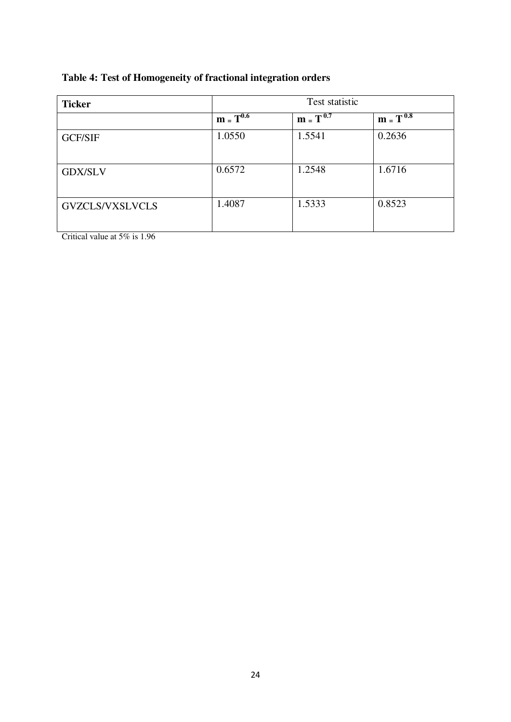# **Table 4: Test of Homogeneity of fractional integration orders**

| <b>Ticker</b>          | Test statistic |               |               |  |
|------------------------|----------------|---------------|---------------|--|
|                        | $m = T^{0.6}$  | $m = T^{0.7}$ | $m = T^{0.8}$ |  |
| <b>GCF/SIF</b>         | 1.0550         | 1.5541        | 0.2636        |  |
| <b>GDX/SLV</b>         | 0.6572         | 1.2548        | 1.6716        |  |
| <b>GVZCLS/VXSLVCLS</b> | 1.4087         | 1.5333        | 0.8523        |  |

Critical value at 5% is 1.96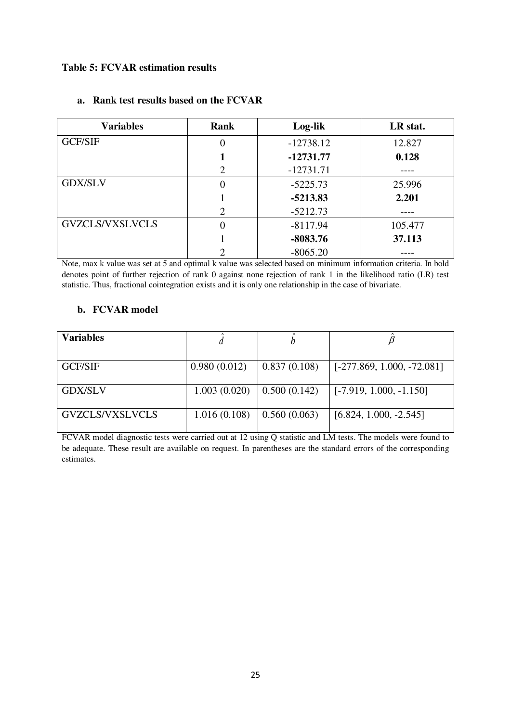## **Table 5: FCVAR estimation results**

| <b>Variables</b>       | <b>Rank</b>                 | Log-lik     | LR stat. |
|------------------------|-----------------------------|-------------|----------|
| <b>GCF/SIF</b>         | 0                           | $-12738.12$ | 12.827   |
|                        |                             | $-12731.77$ | 0.128    |
|                        | 2                           | $-12731.71$ |          |
| <b>GDX/SLV</b>         | 0                           | $-5225.73$  | 25.996   |
|                        |                             | $-5213.83$  | 2.201    |
|                        | $\mathcal{D}_{\mathcal{L}}$ | $-5212.73$  |          |
| <b>GVZCLS/VXSLVCLS</b> | 0                           | $-8117.94$  | 105.477  |
|                        |                             | $-8083.76$  | 37.113   |
|                        |                             | $-8065.20$  |          |

# **a. Rank test results based on the FCVAR**

Note, max k value was set at 5 and optimal k value was selected based on minimum information criteria. In bold denotes point of further rejection of rank 0 against none rejection of rank 1 in the likelihood ratio (LR) test statistic. Thus, fractional cointegration exists and it is only one relationship in the case of bivariate.

## **b. FCVAR model**

| <b>Variables</b> |              |              |                              |
|------------------|--------------|--------------|------------------------------|
| <b>GCF/SIF</b>   | 0.980(0.012) | 0.837(0.108) | $[-277.869, 1.000, -72.081]$ |
| <b>GDX/SLV</b>   | 1.003(0.020) | 0.500(0.142) | $[-7.919, 1.000, -1.150]$    |
| GVZCLS/VXSLVCLS  | 1.016(0.108) | 0.560(0.063) | $[6.824, 1.000, -2.545]$     |

FCVAR model diagnostic tests were carried out at 12 using Q statistic and LM tests. The models were found to be adequate. These result are available on request. In parentheses are the standard errors of the corresponding estimates.